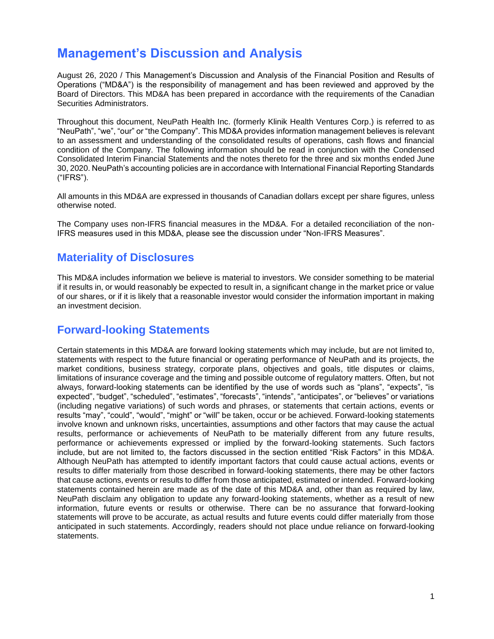# **Management's Discussion and Analysis**

August 26, 2020 / This Management's Discussion and Analysis of the Financial Position and Results of Operations ("MD&A") is the responsibility of management and has been reviewed and approved by the Board of Directors. This MD&A has been prepared in accordance with the requirements of the Canadian Securities Administrators.

Throughout this document, NeuPath Health Inc. (formerly Klinik Health Ventures Corp.) is referred to as "NeuPath", "we", "our" or "the Company". This MD&A provides information management believes is relevant to an assessment and understanding of the consolidated results of operations, cash flows and financial condition of the Company. The following information should be read in conjunction with the Condensed Consolidated Interim Financial Statements and the notes thereto for the three and six months ended June 30, 2020. NeuPath's accounting policies are in accordance with International Financial Reporting Standards ("IFRS").

All amounts in this MD&A are expressed in thousands of Canadian dollars except per share figures, unless otherwise noted.

The Company uses non-IFRS financial measures in the MD&A. For a detailed reconciliation of the non-IFRS measures used in this MD&A, please see the discussion under "Non-IFRS Measures".

## **Materiality of Disclosures**

This MD&A includes information we believe is material to investors. We consider something to be material if it results in, or would reasonably be expected to result in, a significant change in the market price or value of our shares, or if it is likely that a reasonable investor would consider the information important in making an investment decision.

## **Forward-looking Statements**

Certain statements in this MD&A are forward looking statements which may include, but are not limited to, statements with respect to the future financial or operating performance of NeuPath and its projects, the market conditions, business strategy, corporate plans, objectives and goals, title disputes or claims, limitations of insurance coverage and the timing and possible outcome of regulatory matters. Often, but not always, forward-looking statements can be identified by the use of words such as "plans", "expects", "is expected", "budget", "scheduled", "estimates", "forecasts", "intends", "anticipates", or "believes" or variations (including negative variations) of such words and phrases, or statements that certain actions, events or results "may", "could", "would", "might" or "will" be taken, occur or be achieved. Forward-looking statements involve known and unknown risks, uncertainties, assumptions and other factors that may cause the actual results, performance or achievements of NeuPath to be materially different from any future results, performance or achievements expressed or implied by the forward-looking statements. Such factors include, but are not limited to, the factors discussed in the section entitled "Risk Factors" in this MD&A. Although NeuPath has attempted to identify important factors that could cause actual actions, events or results to differ materially from those described in forward-looking statements, there may be other factors that cause actions, events or results to differ from those anticipated, estimated or intended. Forward-looking statements contained herein are made as of the date of this MD&A and, other than as required by law, NeuPath disclaim any obligation to update any forward-looking statements, whether as a result of new information, future events or results or otherwise. There can be no assurance that forward-looking statements will prove to be accurate, as actual results and future events could differ materially from those anticipated in such statements. Accordingly, readers should not place undue reliance on forward-looking statements.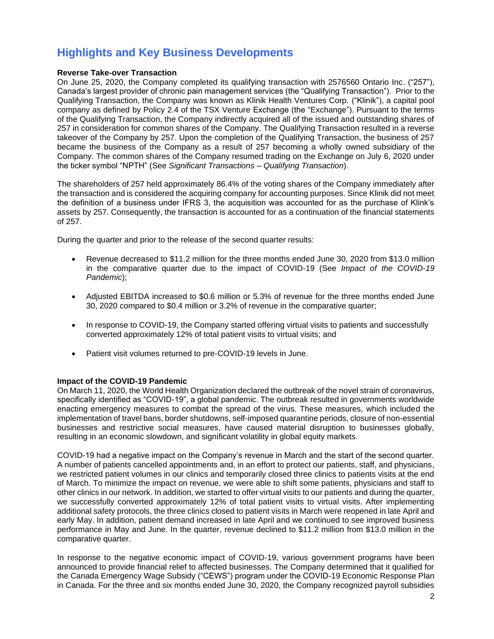# **Highlights and Key Business Developments**

#### **Reverse Take-over Transaction**

On June 25, 2020, the Company completed its qualifying transaction with 2576560 Ontario Inc. ("257"), Canada's largest provider of chronic pain management services (the "Qualifying Transaction"). Prior to the Qualifying Transaction, the Company was known as Klinik Health Ventures Corp. ("Klinik"), a capital pool company as defined by Policy 2.4 of the TSX Venture Exchange (the "Exchange"). Pursuant to the terms of the Qualifying Transaction, the Company indirectly acquired all of the issued and outstanding shares of 257 in consideration for common shares of the Company. The Qualifying Transaction resulted in a reverse takeover of the Company by 257. Upon the completion of the Qualifying Transaction, the business of 257 became the business of the Company as a result of 257 becoming a wholly owned subsidiary of the Company. The common shares of the Company resumed trading on the Exchange on July 6, 2020 under the ticker symbol "NPTH" (See *Significant Transactions – Qualifying Transaction*).

The shareholders of 257 held approximately 86.4% of the voting shares of the Company immediately after the transaction and is considered the acquiring company for accounting purposes. Since Klinik did not meet the definition of a business under IFRS 3, the acquisition was accounted for as the purchase of Klink's assets by 257. Consequently, the transaction is accounted for as a continuation of the financial statements of 257.

During the quarter and prior to the release of the second quarter results:

- Revenue decreased to \$11.2 million for the three months ended June 30, 2020 from \$13.0 million in the comparative quarter due to the impact of COVID-19 (See *Impact of the COVID-19 Pandemic*);
- Adjusted EBITDA increased to \$0.6 million or 5.3% of revenue for the three months ended June 30, 2020 compared to \$0.4 million or 3.2% of revenue in the comparative quarter;
- In response to COVID-19, the Company started offering virtual visits to patients and successfully converted approximately 12% of total patient visits to virtual visits; and
- Patient visit volumes returned to pre-COVID-19 levels in June.

#### **Impact of the COVID-19 Pandemic**

On March 11, 2020, the World Health Organization declared the outbreak of the novel strain of coronavirus, specifically identified as "COVID-19", a global pandemic. The outbreak resulted in governments worldwide enacting emergency measures to combat the spread of the virus. These measures, which included the implementation of travel bans, border shutdowns, self-imposed quarantine periods, closure of non-essential businesses and restrictive social measures, have caused material disruption to businesses globally, resulting in an economic slowdown, and significant volatility in global equity markets.

COVID-19 had a negative impact on the Company's revenue in March and the start of the second quarter. A number of patients cancelled appointments and, in an effort to protect our patients, staff, and physicians, we restricted patient volumes in our clinics and temporarily closed three clinics to patients visits at the end of March. To minimize the impact on revenue, we were able to shift some patients, physicians and staff to other clinics in our network. In addition, we started to offer virtual visits to our patients and during the quarter, we successfully converted approximately 12% of total patient visits to virtual visits. After implementing additional safety protocols, the three clinics closed to patient visits in March were reopened in late April and early May. In addition, patient demand increased in late April and we continued to see improved business performance in May and June. In the quarter, revenue declined to \$11.2 million from \$13.0 million in the comparative quarter.

In response to the negative economic impact of COVID-19, various government programs have been announced to provide financial relief to affected businesses. The Company determined that it qualified for the Canada Emergency Wage Subsidy ("CEWS") program under the COVID-19 Economic Response Plan in Canada. For the three and six months ended June 30, 2020, the Company recognized payroll subsidies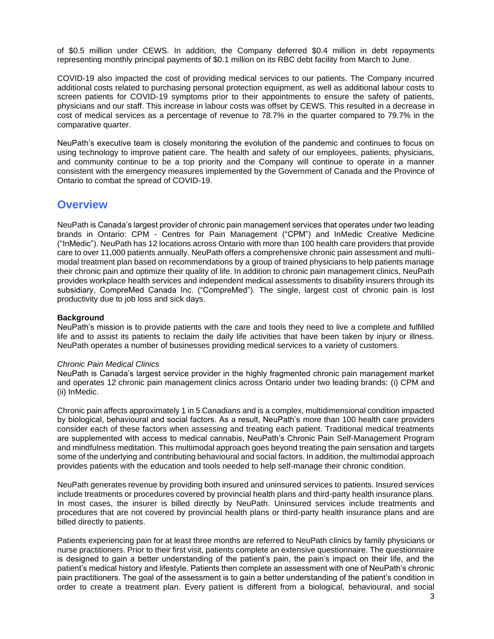of \$0.5 million under CEWS. In addition, the Company deferred \$0.4 million in debt repayments representing monthly principal payments of \$0.1 million on its RBC debt facility from March to June.

COVID-19 also impacted the cost of providing medical services to our patients. The Company incurred additional costs related to purchasing personal protection equipment, as well as additional labour costs to screen patients for COVID-19 symptoms prior to their appointments to ensure the safety of patients, physicians and our staff. This increase in labour costs was offset by CEWS. This resulted in a decrease in cost of medical services as a percentage of revenue to 78.7% in the quarter compared to 79.7% in the comparative quarter.

NeuPath's executive team is closely monitoring the evolution of the pandemic and continues to focus on using technology to improve patient care. The health and safety of our employees, patients, physicians, and community continue to be a top priority and the Company will continue to operate in a manner consistent with the emergency measures implemented by the Government of Canada and the Province of Ontario to combat the spread of COVID-19.

### **Overview**

NeuPath is Canada's largest provider of chronic pain management services that operates under two leading brands in Ontario: CPM - Centres for Pain Management ("CPM") and InMedic Creative Medicine ("InMedic"). NeuPath has 12 locations across Ontario with more than 100 health care providers that provide care to over 11,000 patients annually. NeuPath offers a comprehensive chronic pain assessment and multimodal treatment plan based on recommendations by a group of trained physicians to help patients manage their chronic pain and optimize their quality of life. In addition to chronic pain management clinics, NeuPath provides workplace health services and independent medical assessments to disability insurers through its subsidiary, CompreMed Canada Inc. ("CompreMed"). The single, largest cost of chronic pain is lost productivity due to job loss and sick days.

#### **Background**

NeuPath's mission is to provide patients with the care and tools they need to live a complete and fulfilled life and to assist its patients to reclaim the daily life activities that have been taken by injury or illness. NeuPath operates a number of businesses providing medical services to a variety of customers.

#### *Chronic Pain Medical Clinics*

NeuPath is Canada's largest service provider in the highly fragmented chronic pain management market and operates 12 chronic pain management clinics across Ontario under two leading brands: (i) CPM and (ii) InMedic.

Chronic pain affects approximately 1 in 5 Canadians and is a complex, multidimensional condition impacted by biological, behavioural and social factors. As a result, NeuPath's more than 100 health care providers consider each of these factors when assessing and treating each patient. Traditional medical treatments are supplemented with access to medical cannabis, NeuPath's Chronic Pain Self-Management Program and mindfulness meditation. This multimodal approach goes beyond treating the pain sensation and targets some of the underlying and contributing behavioural and social factors. In addition, the multimodal approach provides patients with the education and tools needed to help self-manage their chronic condition.

NeuPath generates revenue by providing both insured and uninsured services to patients. Insured services include treatments or procedures covered by provincial health plans and third-party health insurance plans. In most cases, the insurer is billed directly by NeuPath. Uninsured services include treatments and procedures that are not covered by provincial health plans or third-party health insurance plans and are billed directly to patients.

Patients experiencing pain for at least three months are referred to NeuPath clinics by family physicians or nurse practitioners. Prior to their first visit, patients complete an extensive questionnaire. The questionnaire is designed to gain a better understanding of the patient's pain, the pain's impact on their life, and the patient's medical history and lifestyle. Patients then complete an assessment with one of NeuPath's chronic pain practitioners. The goal of the assessment is to gain a better understanding of the patient's condition in order to create a treatment plan. Every patient is different from a biological, behavioural, and social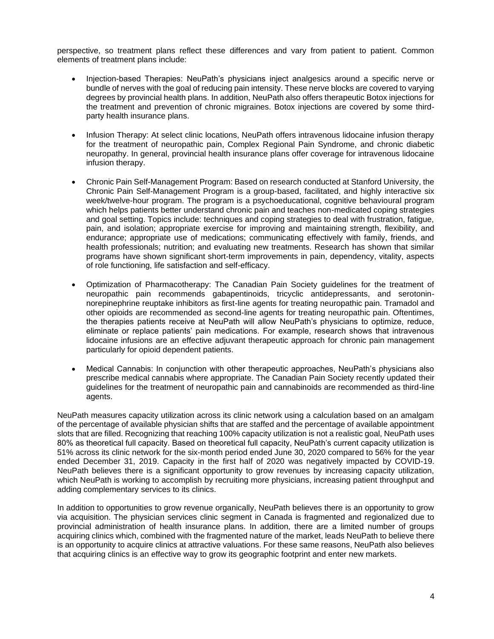perspective, so treatment plans reflect these differences and vary from patient to patient. Common elements of treatment plans include:

- Injection-based Therapies: NeuPath's physicians inject analgesics around a specific nerve or bundle of nerves with the goal of reducing pain intensity. These nerve blocks are covered to varying degrees by provincial health plans. In addition, NeuPath also offers therapeutic Botox injections for the treatment and prevention of chronic migraines. Botox injections are covered by some thirdparty health insurance plans.
- Infusion Therapy: At select clinic locations, NeuPath offers intravenous lidocaine infusion therapy for the treatment of neuropathic pain, Complex Regional Pain Syndrome, and chronic diabetic neuropathy. In general, provincial health insurance plans offer coverage for intravenous lidocaine infusion therapy.
- Chronic Pain Self-Management Program: Based on research conducted at Stanford University, the Chronic Pain Self-Management Program is a group-based, facilitated, and highly interactive six week/twelve-hour program. The program is a psychoeducational, cognitive behavioural program which helps patients better understand chronic pain and teaches non-medicated coping strategies and goal setting. Topics include: techniques and coping strategies to deal with frustration, fatigue, pain, and isolation; appropriate exercise for improving and maintaining strength, flexibility, and endurance; appropriate use of medications; communicating effectively with family, friends, and health professionals; nutrition; and evaluating new treatments. Research has shown that similar programs have shown significant short-term improvements in pain, dependency, vitality, aspects of role functioning, life satisfaction and self-efficacy.
- Optimization of Pharmacotherapy: The Canadian Pain Society guidelines for the treatment of neuropathic pain recommends gabapentinoids, tricyclic antidepressants, and serotoninnorepinephrine reuptake inhibitors as first-line agents for treating neuropathic pain. Tramadol and other opioids are recommended as second-line agents for treating neuropathic pain. Oftentimes, the therapies patients receive at NeuPath will allow NeuPath's physicians to optimize, reduce, eliminate or replace patients' pain medications. For example, research shows that intravenous lidocaine infusions are an effective adjuvant therapeutic approach for chronic pain management particularly for opioid dependent patients.
- Medical Cannabis: In conjunction with other therapeutic approaches, NeuPath's physicians also prescribe medical cannabis where appropriate. The Canadian Pain Society recently updated their guidelines for the treatment of neuropathic pain and cannabinoids are recommended as third-line agents.

NeuPath measures capacity utilization across its clinic network using a calculation based on an amalgam of the percentage of available physician shifts that are staffed and the percentage of available appointment slots that are filled. Recognizing that reaching 100% capacity utilization is not a realistic goal, NeuPath uses 80% as theoretical full capacity. Based on theoretical full capacity, NeuPath's current capacity utilization is 51% across its clinic network for the six-month period ended June 30, 2020 compared to 56% for the year ended December 31, 2019. Capacity in the first half of 2020 was negatively impacted by COVID-19. NeuPath believes there is a significant opportunity to grow revenues by increasing capacity utilization, which NeuPath is working to accomplish by recruiting more physicians, increasing patient throughput and adding complementary services to its clinics.

In addition to opportunities to grow revenue organically, NeuPath believes there is an opportunity to grow via acquisition. The physician services clinic segment in Canada is fragmented and regionalized due to provincial administration of health insurance plans. In addition, there are a limited number of groups acquiring clinics which, combined with the fragmented nature of the market, leads NeuPath to believe there is an opportunity to acquire clinics at attractive valuations. For these same reasons, NeuPath also believes that acquiring clinics is an effective way to grow its geographic footprint and enter new markets.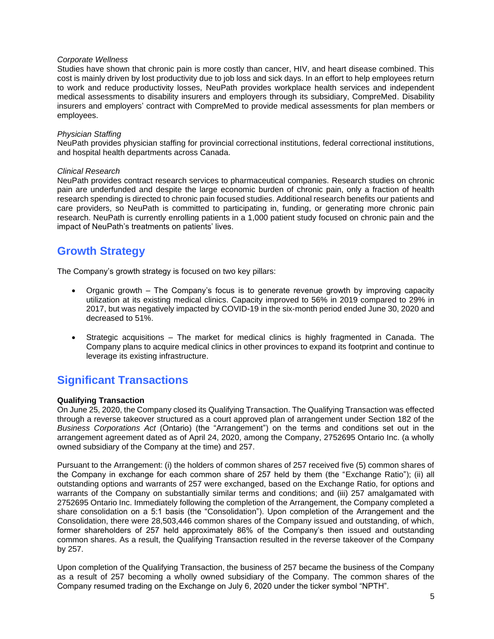#### *Corporate Wellness*

Studies have shown that chronic pain is more costly than cancer, HIV, and heart disease combined. This cost is mainly driven by lost productivity due to job loss and sick days. In an effort to help employees return to work and reduce productivity losses, NeuPath provides workplace health services and independent medical assessments to disability insurers and employers through its subsidiary, CompreMed. Disability insurers and employers' contract with CompreMed to provide medical assessments for plan members or employees.

#### *Physician Staffing*

NeuPath provides physician staffing for provincial correctional institutions, federal correctional institutions, and hospital health departments across Canada.

#### *Clinical Research*

NeuPath provides contract research services to pharmaceutical companies. Research studies on chronic pain are underfunded and despite the large economic burden of chronic pain, only a fraction of health research spending is directed to chronic pain focused studies. Additional research benefits our patients and care providers, so NeuPath is committed to participating in, funding, or generating more chronic pain research. NeuPath is currently enrolling patients in a 1,000 patient study focused on chronic pain and the impact of NeuPath's treatments on patients' lives.

## **Growth Strategy**

The Company's growth strategy is focused on two key pillars:

- Organic growth The Company's focus is to generate revenue growth by improving capacity utilization at its existing medical clinics. Capacity improved to 56% in 2019 compared to 29% in 2017, but was negatively impacted by COVID-19 in the six-month period ended June 30, 2020 and decreased to 51%.
- Strategic acquisitions The market for medical clinics is highly fragmented in Canada. The Company plans to acquire medical clinics in other provinces to expand its footprint and continue to leverage its existing infrastructure.

## **Significant Transactions**

#### **Qualifying Transaction**

On June 25, 2020, the Company closed its Qualifying Transaction. The Qualifying Transaction was effected through a reverse takeover structured as a court approved plan of arrangement under Section 182 of the *Business Corporations Act* (Ontario) (the "Arrangement") on the terms and conditions set out in the arrangement agreement dated as of April 24, 2020, among the Company, 2752695 Ontario Inc. (a wholly owned subsidiary of the Company at the time) and 257.

Pursuant to the Arrangement: (i) the holders of common shares of 257 received five (5) common shares of the Company in exchange for each common share of 257 held by them (the "Exchange Ratio"); (ii) all outstanding options and warrants of 257 were exchanged, based on the Exchange Ratio, for options and warrants of the Company on substantially similar terms and conditions; and (iii) 257 amalgamated with 2752695 Ontario Inc. Immediately following the completion of the Arrangement, the Company completed a share consolidation on a 5:1 basis (the "Consolidation"). Upon completion of the Arrangement and the Consolidation, there were 28,503,446 common shares of the Company issued and outstanding, of which, former shareholders of 257 held approximately 86% of the Company's then issued and outstanding common shares. As a result, the Qualifying Transaction resulted in the reverse takeover of the Company by 257.

Upon completion of the Qualifying Transaction, the business of 257 became the business of the Company as a result of 257 becoming a wholly owned subsidiary of the Company. The common shares of the Company resumed trading on the Exchange on July 6, 2020 under the ticker symbol "NPTH".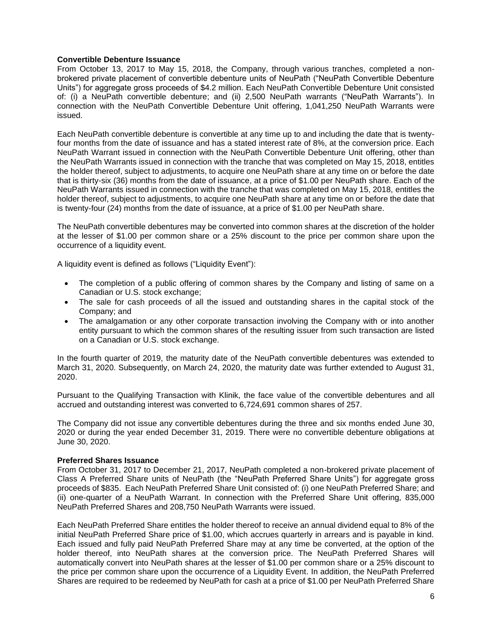#### **Convertible Debenture Issuance**

From October 13, 2017 to May 15, 2018, the Company, through various tranches, completed a nonbrokered private placement of convertible debenture units of NeuPath ("NeuPath Convertible Debenture Units") for aggregate gross proceeds of \$4.2 million. Each NeuPath Convertible Debenture Unit consisted of: (i) a NeuPath convertible debenture; and (ii) 2,500 NeuPath warrants ("NeuPath Warrants"). In connection with the NeuPath Convertible Debenture Unit offering, 1,041,250 NeuPath Warrants were issued.

Each NeuPath convertible debenture is convertible at any time up to and including the date that is twentyfour months from the date of issuance and has a stated interest rate of 8%, at the conversion price. Each NeuPath Warrant issued in connection with the NeuPath Convertible Debenture Unit offering, other than the NeuPath Warrants issued in connection with the tranche that was completed on May 15, 2018, entitles the holder thereof, subject to adjustments, to acquire one NeuPath share at any time on or before the date that is thirty-six (36) months from the date of issuance, at a price of \$1.00 per NeuPath share. Each of the NeuPath Warrants issued in connection with the tranche that was completed on May 15, 2018, entitles the holder thereof, subject to adjustments, to acquire one NeuPath share at any time on or before the date that is twenty-four (24) months from the date of issuance, at a price of \$1.00 per NeuPath share.

The NeuPath convertible debentures may be converted into common shares at the discretion of the holder at the lesser of \$1.00 per common share or a 25% discount to the price per common share upon the occurrence of a liquidity event.

A liquidity event is defined as follows ("Liquidity Event"):

- The completion of a public offering of common shares by the Company and listing of same on a Canadian or U.S. stock exchange;
- The sale for cash proceeds of all the issued and outstanding shares in the capital stock of the Company; and
- The amalgamation or any other corporate transaction involving the Company with or into another entity pursuant to which the common shares of the resulting issuer from such transaction are listed on a Canadian or U.S. stock exchange.

In the fourth quarter of 2019, the maturity date of the NeuPath convertible debentures was extended to March 31, 2020. Subsequently, on March 24, 2020, the maturity date was further extended to August 31, 2020.

Pursuant to the Qualifying Transaction with Klinik, the face value of the convertible debentures and all accrued and outstanding interest was converted to 6,724,691 common shares of 257.

The Company did not issue any convertible debentures during the three and six months ended June 30, 2020 or during the year ended December 31, 2019. There were no convertible debenture obligations at June 30, 2020.

#### **Preferred Shares Issuance**

From October 31, 2017 to December 21, 2017, NeuPath completed a non-brokered private placement of Class A Preferred Share units of NeuPath (the "NeuPath Preferred Share Units") for aggregate gross proceeds of \$835. Each NeuPath Preferred Share Unit consisted of: (i) one NeuPath Preferred Share; and (ii) one-quarter of a NeuPath Warrant. In connection with the Preferred Share Unit offering, 835,000 NeuPath Preferred Shares and 208,750 NeuPath Warrants were issued.

Each NeuPath Preferred Share entitles the holder thereof to receive an annual dividend equal to 8% of the initial NeuPath Preferred Share price of \$1.00, which accrues quarterly in arrears and is payable in kind. Each issued and fully paid NeuPath Preferred Share may at any time be converted, at the option of the holder thereof, into NeuPath shares at the conversion price. The NeuPath Preferred Shares will automatically convert into NeuPath shares at the lesser of \$1.00 per common share or a 25% discount to the price per common share upon the occurrence of a Liquidity Event. In addition, the NeuPath Preferred Shares are required to be redeemed by NeuPath for cash at a price of \$1.00 per NeuPath Preferred Share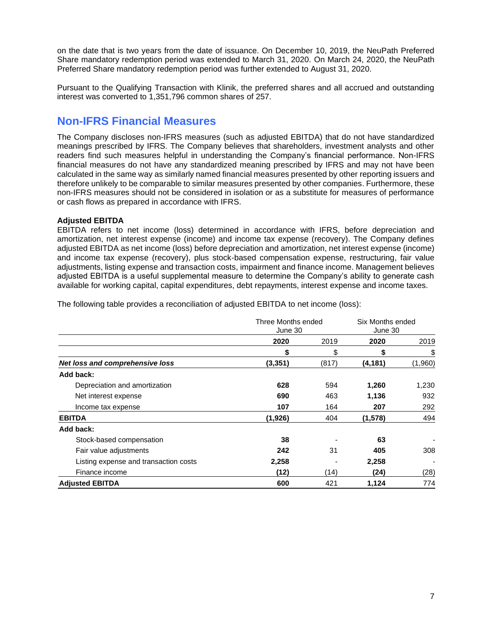on the date that is two years from the date of issuance. On December 10, 2019, the NeuPath Preferred Share mandatory redemption period was extended to March 31, 2020. On March 24, 2020, the NeuPath Preferred Share mandatory redemption period was further extended to August 31, 2020.

Pursuant to the Qualifying Transaction with Klinik, the preferred shares and all accrued and outstanding interest was converted to 1,351,796 common shares of 257.

## **Non-IFRS Financial Measures**

The Company discloses non-IFRS measures (such as adjusted EBITDA) that do not have standardized meanings prescribed by IFRS. The Company believes that shareholders, investment analysts and other readers find such measures helpful in understanding the Company's financial performance. Non-IFRS financial measures do not have any standardized meaning prescribed by IFRS and may not have been calculated in the same way as similarly named financial measures presented by other reporting issuers and therefore unlikely to be comparable to similar measures presented by other companies. Furthermore, these non-IFRS measures should not be considered in isolation or as a substitute for measures of performance or cash flows as prepared in accordance with IFRS.

#### **Adjusted EBITDA**

EBITDA refers to net income (loss) determined in accordance with IFRS, before depreciation and amortization, net interest expense (income) and income tax expense (recovery). The Company defines adjusted EBITDA as net income (loss) before depreciation and amortization, net interest expense (income) and income tax expense (recovery), plus stock-based compensation expense, restructuring, fair value adjustments, listing expense and transaction costs, impairment and finance income. Management believes adjusted EBITDA is a useful supplemental measure to determine the Company's ability to generate cash available for working capital, capital expenditures, debt repayments, interest expense and income taxes.

The following table provides a reconciliation of adjusted EBITDA to net income (loss):

|                                       | Three Months ended<br>June 30 |       | Six Months ended<br>June 30 |         |
|---------------------------------------|-------------------------------|-------|-----------------------------|---------|
|                                       | 2020                          | 2019  | 2020                        | 2019    |
|                                       | S                             | \$    | \$                          | \$      |
| Net loss and comprehensive loss       | (3, 351)                      | (817) | (4, 181)                    | (1,960) |
| Add back:                             |                               |       |                             |         |
| Depreciation and amortization         | 628                           | 594   | 1,260                       | 1,230   |
| Net interest expense                  | 690                           | 463   | 1,136                       | 932     |
| Income tax expense                    | 107                           | 164   | 207                         | 292     |
| <b>EBITDA</b>                         | (1,926)                       | 404   | (1, 578)                    | 494     |
| Add back:                             |                               |       |                             |         |
| Stock-based compensation              | 38                            |       | 63                          |         |
| Fair value adjustments                | 242                           | 31    | 405                         | 308     |
| Listing expense and transaction costs | 2,258                         |       | 2,258                       |         |
| Finance income                        | (12)                          | (14)  | (24)                        | (28)    |
| <b>Adjusted EBITDA</b>                | 600                           | 421   | 1,124                       | 774     |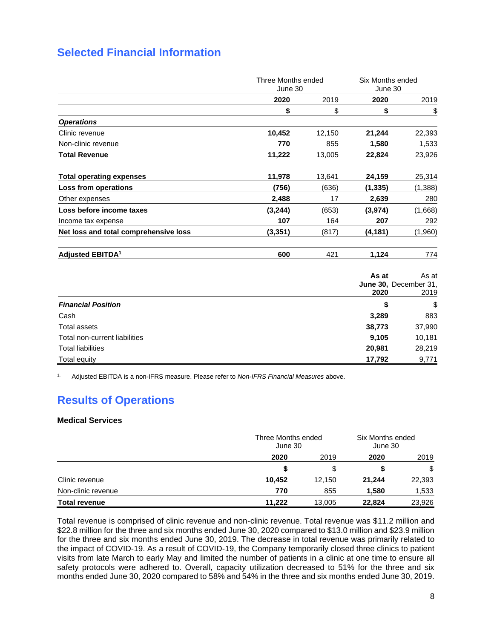# **Selected Financial Information**

|                                       | Three Months ended<br>June 30 |        | Six Months ended<br>June 30 |                                        |
|---------------------------------------|-------------------------------|--------|-----------------------------|----------------------------------------|
|                                       | 2020                          | 2019   | 2020                        | 2019                                   |
|                                       | \$                            | \$     | \$                          | <u>\$</u>                              |
| <b>Operations</b>                     |                               |        |                             |                                        |
| Clinic revenue                        | 10,452                        | 12,150 | 21,244                      | 22,393                                 |
| Non-clinic revenue                    | 770                           | 855    | 1,580                       | 1,533                                  |
| <b>Total Revenue</b>                  | 11,222                        | 13,005 | 22,824                      | 23,926                                 |
| <b>Total operating expenses</b>       | 11,978                        | 13,641 | 24,159                      | 25,314                                 |
| Loss from operations                  | (756)                         | (636)  | (1, 335)                    | (1, 388)                               |
| Other expenses                        | 2,488                         | 17     | 2,639                       | 280                                    |
| Loss before income taxes              | (3, 244)                      | (653)  | (3, 974)                    | (1,668)                                |
| Income tax expense                    | 107                           | 164    | 207                         | 292                                    |
| Net loss and total comprehensive loss | (3, 351)                      | (817)  | (4,181)                     | (1,960)                                |
| <b>Adjusted EBITDA<sup>1</sup></b>    | 600                           | 421    | 1,124                       | 774                                    |
|                                       |                               |        | As at<br>2020               | As at<br>June 30, December 31,<br>2019 |
| <b>Financial Position</b>             |                               |        | \$                          | $\frac{1}{2}$                          |
| Cash                                  |                               |        | 3,289                       | 883                                    |

Total assets **38,773** 37,990 Total non-current liabilities **9,105** 10,181 Total liabilities **20,981** 28,219 Total equity **17,792** 9,771

1. Adjusted EBITDA is a non-IFRS measure. Please refer to *Non-IFRS Financial Measures* above.

# **Results of Operations**

#### **Medical Services**

|                      |        | Three Months ended<br>June 30 |        | Six Months ended<br>June 30 |  |
|----------------------|--------|-------------------------------|--------|-----------------------------|--|
|                      | 2020   | 2019                          | 2020   | 2019                        |  |
|                      |        |                               |        | \$                          |  |
| Clinic revenue       | 10,452 | 12.150                        | 21,244 | 22,393                      |  |
| Non-clinic revenue   | 770    | 855                           | 1,580  | 1,533                       |  |
| <b>Total revenue</b> | 11,222 | 13.005                        | 22,824 | 23,926                      |  |

Total revenue is comprised of clinic revenue and non-clinic revenue. Total revenue was \$11.2 million and \$22.8 million for the three and six months ended June 30, 2020 compared to \$13.0 million and \$23.9 million for the three and six months ended June 30, 2019. The decrease in total revenue was primarily related to the impact of COVID-19. As a result of COVID-19, the Company temporarily closed three clinics to patient visits from late March to early May and limited the number of patients in a clinic at one time to ensure all safety protocols were adhered to. Overall, capacity utilization decreased to 51% for the three and six months ended June 30, 2020 compared to 58% and 54% in the three and six months ended June 30, 2019.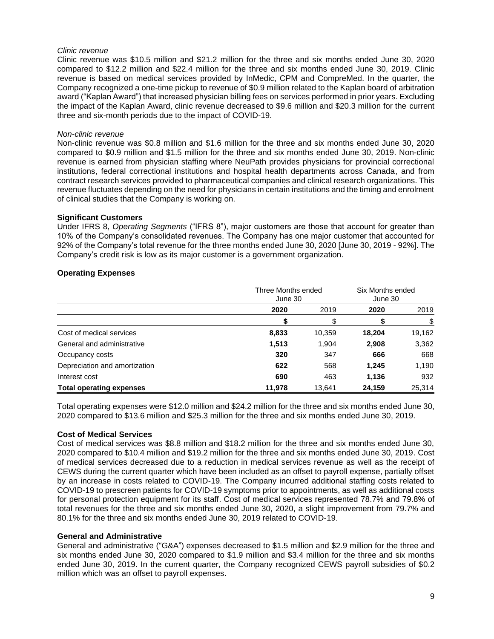#### *Clinic revenue*

Clinic revenue was \$10.5 million and \$21.2 million for the three and six months ended June 30, 2020 compared to \$12.2 million and \$22.4 million for the three and six months ended June 30, 2019. Clinic revenue is based on medical services provided by InMedic, CPM and CompreMed. In the quarter, the Company recognized a one-time pickup to revenue of \$0.9 million related to the Kaplan board of arbitration award ("Kaplan Award") that increased physician billing fees on services performed in prior years. Excluding the impact of the Kaplan Award, clinic revenue decreased to \$9.6 million and \$20.3 million for the current three and six-month periods due to the impact of COVID-19.

#### *Non-clinic revenue*

Non-clinic revenue was \$0.8 million and \$1.6 million for the three and six months ended June 30, 2020 compared to \$0.9 million and \$1.5 million for the three and six months ended June 30, 2019. Non-clinic revenue is earned from physician staffing where NeuPath provides physicians for provincial correctional institutions, federal correctional institutions and hospital health departments across Canada, and from contract research services provided to pharmaceutical companies and clinical research organizations. This revenue fluctuates depending on the need for physicians in certain institutions and the timing and enrolment of clinical studies that the Company is working on.

#### **Significant Customers**

Under IFRS 8, *Operating Segments* ("IFRS 8"), major customers are those that account for greater than 10% of the Company's consolidated revenues. The Company has one major customer that accounted for 92% of the Company's total revenue for the three months ended June 30, 2020 [June 30, 2019 - 92%]. The Company's credit risk is low as its major customer is a government organization.

#### **Operating Expenses**

|                                 | Three Months ended<br>June 30 |        | Six Months ended<br>June 30 |        |
|---------------------------------|-------------------------------|--------|-----------------------------|--------|
|                                 | 2020                          | 2019   | 2020                        | 2019   |
|                                 |                               |        |                             | \$     |
| Cost of medical services        | 8,833                         | 10,359 | 18,204                      | 19,162 |
| General and administrative      | 1,513                         | 1,904  | 2,908                       | 3,362  |
| Occupancy costs                 | 320                           | 347    | 666                         | 668    |
| Depreciation and amortization   | 622                           | 568    | 1,245                       | 1,190  |
| Interest cost                   | 690                           | 463    | 1,136                       | 932    |
| <b>Total operating expenses</b> | 11.978                        | 13.641 | 24.159                      | 25.314 |

Total operating expenses were \$12.0 million and \$24.2 million for the three and six months ended June 30, 2020 compared to \$13.6 million and \$25.3 million for the three and six months ended June 30, 2019.

#### **Cost of Medical Services**

Cost of medical services was \$8.8 million and \$18.2 million for the three and six months ended June 30, 2020 compared to \$10.4 million and \$19.2 million for the three and six months ended June 30, 2019. Cost of medical services decreased due to a reduction in medical services revenue as well as the receipt of CEWS during the current quarter which have been included as an offset to payroll expense, partially offset by an increase in costs related to COVID-19. The Company incurred additional staffing costs related to COVID-19 to prescreen patients for COVID-19 symptoms prior to appointments, as well as additional costs for personal protection equipment for its staff. Cost of medical services represented 78.7% and 79.8% of total revenues for the three and six months ended June 30, 2020, a slight improvement from 79.7% and 80.1% for the three and six months ended June 30, 2019 related to COVID-19.

#### **General and Administrative**

General and administrative ("G&A") expenses decreased to \$1.5 million and \$2.9 million for the three and six months ended June 30, 2020 compared to \$1.9 million and \$3.4 million for the three and six months ended June 30, 2019. In the current quarter, the Company recognized CEWS payroll subsidies of \$0.2 million which was an offset to payroll expenses.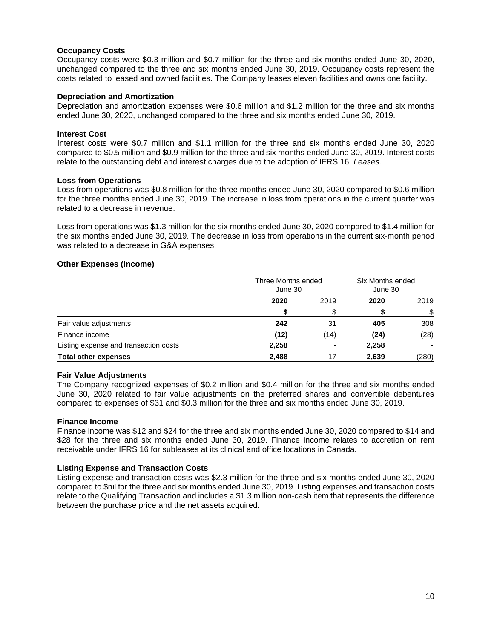#### **Occupancy Costs**

Occupancy costs were \$0.3 million and \$0.7 million for the three and six months ended June 30, 2020, unchanged compared to the three and six months ended June 30, 2019. Occupancy costs represent the costs related to leased and owned facilities. The Company leases eleven facilities and owns one facility.

#### **Depreciation and Amortization**

Depreciation and amortization expenses were \$0.6 million and \$1.2 million for the three and six months ended June 30, 2020, unchanged compared to the three and six months ended June 30, 2019.

#### **Interest Cost**

Interest costs were \$0.7 million and \$1.1 million for the three and six months ended June 30, 2020 compared to \$0.5 million and \$0.9 million for the three and six months ended June 30, 2019. Interest costs relate to the outstanding debt and interest charges due to the adoption of IFRS 16, *Leases*.

#### **Loss from Operations**

Loss from operations was \$0.8 million for the three months ended June 30, 2020 compared to \$0.6 million for the three months ended June 30, 2019. The increase in loss from operations in the current quarter was related to a decrease in revenue.

Loss from operations was \$1.3 million for the six months ended June 30, 2020 compared to \$1.4 million for the six months ended June 30, 2019. The decrease in loss from operations in the current six-month period was related to a decrease in G&A expenses.

#### **Other Expenses (Income)**

|                                       |       | Three Months ended<br>June 30 |       | Six Months ended<br>June 30 |  |
|---------------------------------------|-------|-------------------------------|-------|-----------------------------|--|
|                                       | 2020  | 2019                          | 2020  | 2019                        |  |
|                                       |       |                               |       | \$                          |  |
| Fair value adjustments                | 242   | 31                            | 405   | 308                         |  |
| Finance income                        | (12)  | (14)                          | (24)  | (28)                        |  |
| Listing expense and transaction costs | 2,258 |                               | 2,258 |                             |  |
| <b>Total other expenses</b>           | 2,488 | 17                            | 2,639 | (280)                       |  |

#### **Fair Value Adjustments**

The Company recognized expenses of \$0.2 million and \$0.4 million for the three and six months ended June 30, 2020 related to fair value adjustments on the preferred shares and convertible debentures compared to expenses of \$31 and \$0.3 million for the three and six months ended June 30, 2019.

#### **Finance Income**

Finance income was \$12 and \$24 for the three and six months ended June 30, 2020 compared to \$14 and \$28 for the three and six months ended June 30, 2019. Finance income relates to accretion on rent receivable under IFRS 16 for subleases at its clinical and office locations in Canada.

#### **Listing Expense and Transaction Costs**

Listing expense and transaction costs was \$2.3 million for the three and six months ended June 30, 2020 compared to \$nil for the three and six months ended June 30, 2019. Listing expenses and transaction costs relate to the Qualifying Transaction and includes a \$1.3 million non-cash item that represents the difference between the purchase price and the net assets acquired.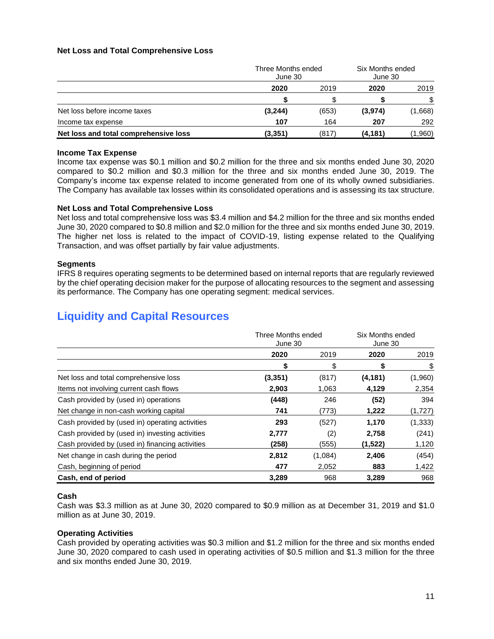#### **Net Loss and Total Comprehensive Loss**

|                                       | Three Months ended<br>June 30 |       | Six Months ended<br>June 30 |         |
|---------------------------------------|-------------------------------|-------|-----------------------------|---------|
|                                       | 2020                          | 2019  | 2020                        | 2019    |
|                                       |                               |       |                             | \$.     |
| Net loss before income taxes          | (3,244)                       | (653) | (3,974)                     | (1,668) |
| Income tax expense                    | 107                           | 164   | 207                         | 292     |
| Net loss and total comprehensive loss | (3, 351)                      | (817) | (4, 181)                    | (1,960) |

#### **Income Tax Expense**

Income tax expense was \$0.1 million and \$0.2 million for the three and six months ended June 30, 2020 compared to \$0.2 million and \$0.3 million for the three and six months ended June 30, 2019. The Company's income tax expense related to income generated from one of its wholly owned subsidiaries. The Company has available tax losses within its consolidated operations and is assessing its tax structure.

#### **Net Loss and Total Comprehensive Loss**

Net loss and total comprehensive loss was \$3.4 million and \$4.2 million for the three and six months ended June 30, 2020 compared to \$0.8 million and \$2.0 million for the three and six months ended June 30, 2019. The higher net loss is related to the impact of COVID-19, listing expense related to the Qualifying Transaction, and was offset partially by fair value adjustments.

#### **Segments**

IFRS 8 requires operating segments to be determined based on internal reports that are regularly reviewed by the chief operating decision maker for the purpose of allocating resources to the segment and assessing its performance. The Company has one operating segment: medical services.

# **Liquidity and Capital Resources**

|                                                 | Three Months ended<br>June 30 |         | Six Months ended<br>June 30 |          |
|-------------------------------------------------|-------------------------------|---------|-----------------------------|----------|
|                                                 | 2020                          | 2019    | 2020                        | 2019     |
|                                                 | \$                            | \$      | \$                          | \$       |
| Net loss and total comprehensive loss           | (3, 351)                      | (817)   | (4, 181)                    | (1,960)  |
| Items not involving current cash flows          | 2,903                         | 1,063   | 4,129                       | 2,354    |
| Cash provided by (used in) operations           | (448)                         | 246     | (52)                        | 394      |
| Net change in non-cash working capital          | 741                           | (773)   | 1,222                       | (1,727)  |
| Cash provided by (used in) operating activities | 293                           | (527)   | 1,170                       | (1, 333) |
| Cash provided by (used in) investing activities | 2,777                         | (2)     | 2,758                       | (241)    |
| Cash provided by (used in) financing activities | (258)                         | (555)   | (1,522)                     | 1,120    |
| Net change in cash during the period            | 2,812                         | (1,084) | 2,406                       | (454)    |
| Cash, beginning of period                       | 477                           | 2,052   | 883                         | 1,422    |
| Cash, end of period                             | 3,289                         | 968     | 3,289                       | 968      |

#### **Cash**

Cash was \$3.3 million as at June 30, 2020 compared to \$0.9 million as at December 31, 2019 and \$1.0 million as at June 30, 2019.

#### **Operating Activities**

Cash provided by operating activities was \$0.3 million and \$1.2 million for the three and six months ended June 30, 2020 compared to cash used in operating activities of \$0.5 million and \$1.3 million for the three and six months ended June 30, 2019.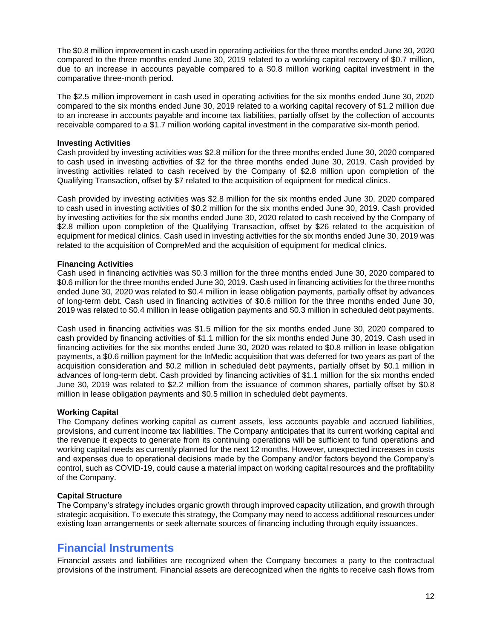The \$0.8 million improvement in cash used in operating activities for the three months ended June 30, 2020 compared to the three months ended June 30, 2019 related to a working capital recovery of \$0.7 million, due to an increase in accounts payable compared to a \$0.8 million working capital investment in the comparative three-month period.

The \$2.5 million improvement in cash used in operating activities for the six months ended June 30, 2020 compared to the six months ended June 30, 2019 related to a working capital recovery of \$1.2 million due to an increase in accounts payable and income tax liabilities, partially offset by the collection of accounts receivable compared to a \$1.7 million working capital investment in the comparative six-month period.

#### **Investing Activities**

Cash provided by investing activities was \$2.8 million for the three months ended June 30, 2020 compared to cash used in investing activities of \$2 for the three months ended June 30, 2019. Cash provided by investing activities related to cash received by the Company of \$2.8 million upon completion of the Qualifying Transaction, offset by \$7 related to the acquisition of equipment for medical clinics.

Cash provided by investing activities was \$2.8 million for the six months ended June 30, 2020 compared to cash used in investing activities of \$0.2 million for the six months ended June 30, 2019. Cash provided by investing activities for the six months ended June 30, 2020 related to cash received by the Company of \$2.8 million upon completion of the Qualifying Transaction, offset by \$26 related to the acquisition of equipment for medical clinics. Cash used in investing activities for the six months ended June 30, 2019 was related to the acquisition of CompreMed and the acquisition of equipment for medical clinics.

#### **Financing Activities**

Cash used in financing activities was \$0.3 million for the three months ended June 30, 2020 compared to \$0.6 million for the three months ended June 30, 2019. Cash used in financing activities for the three months ended June 30, 2020 was related to \$0.4 million in lease obligation payments, partially offset by advances of long-term debt. Cash used in financing activities of \$0.6 million for the three months ended June 30, 2019 was related to \$0.4 million in lease obligation payments and \$0.3 million in scheduled debt payments.

Cash used in financing activities was \$1.5 million for the six months ended June 30, 2020 compared to cash provided by financing activities of \$1.1 million for the six months ended June 30, 2019. Cash used in financing activities for the six months ended June 30, 2020 was related to \$0.8 million in lease obligation payments, a \$0.6 million payment for the InMedic acquisition that was deferred for two years as part of the acquisition consideration and \$0.2 million in scheduled debt payments, partially offset by \$0.1 million in advances of long-term debt. Cash provided by financing activities of \$1.1 million for the six months ended June 30, 2019 was related to \$2.2 million from the issuance of common shares, partially offset by \$0.8 million in lease obligation payments and \$0.5 million in scheduled debt payments.

#### **Working Capital**

The Company defines working capital as current assets, less accounts payable and accrued liabilities, provisions, and current income tax liabilities. The Company anticipates that its current working capital and the revenue it expects to generate from its continuing operations will be sufficient to fund operations and working capital needs as currently planned for the next 12 months. However, unexpected increases in costs and expenses due to operational decisions made by the Company and/or factors beyond the Company's control, such as COVID-19, could cause a material impact on working capital resources and the profitability of the Company.

#### **Capital Structure**

The Company's strategy includes organic growth through improved capacity utilization, and growth through strategic acquisition. To execute this strategy, the Company may need to access additional resources under existing loan arrangements or seek alternate sources of financing including through equity issuances.

### **Financial Instruments**

Financial assets and liabilities are recognized when the Company becomes a party to the contractual provisions of the instrument. Financial assets are derecognized when the rights to receive cash flows from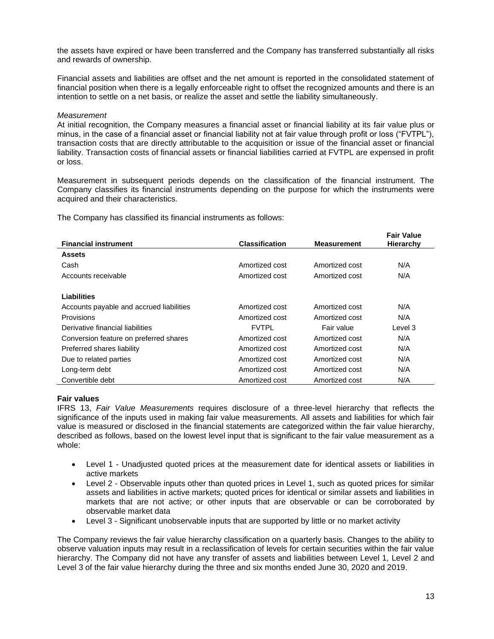the assets have expired or have been transferred and the Company has transferred substantially all risks and rewards of ownership.

Financial assets and liabilities are offset and the net amount is reported in the consolidated statement of financial position when there is a legally enforceable right to offset the recognized amounts and there is an intention to settle on a net basis, or realize the asset and settle the liability simultaneously.

#### *Measurement*

At initial recognition, the Company measures a financial asset or financial liability at its fair value plus or minus, in the case of a financial asset or financial liability not at fair value through profit or loss ("FVTPL"), transaction costs that are directly attributable to the acquisition or issue of the financial asset or financial liability. Transaction costs of financial assets or financial liabilities carried at FVTPL are expensed in profit or loss.

Measurement in subsequent periods depends on the classification of the financial instrument. The Company classifies its financial instruments depending on the purpose for which the instruments were acquired and their characteristics.

The Company has classified its financial instruments as follows:

|                                          |                       |                    | <b>Fair Value</b> |
|------------------------------------------|-----------------------|--------------------|-------------------|
| <b>Financial instrument</b>              | <b>Classification</b> | <b>Measurement</b> | Hierarchy         |
| <b>Assets</b>                            |                       |                    |                   |
| Cash                                     | Amortized cost        | Amortized cost     | N/A               |
| Accounts receivable                      | Amortized cost        | Amortized cost     | N/A               |
|                                          |                       |                    |                   |
| <b>Liabilities</b>                       |                       |                    |                   |
| Accounts payable and accrued liabilities | Amortized cost        | Amortized cost     | N/A               |
| Provisions                               | Amortized cost        | Amortized cost     | N/A               |
| Derivative financial liabilities         | <b>FVTPL</b>          | Fair value         | Level 3           |
| Conversion feature on preferred shares   | Amortized cost        | Amortized cost     | N/A               |
| Preferred shares liability               | Amortized cost        | Amortized cost     | N/A               |
| Due to related parties                   | Amortized cost        | Amortized cost     | N/A               |
| Long-term debt                           | Amortized cost        | Amortized cost     | N/A               |
| Convertible debt                         | Amortized cost        | Amortized cost     | N/A               |

#### **Fair values**

IFRS 13, *Fair Value Measurements* requires disclosure of a three-level hierarchy that reflects the significance of the inputs used in making fair value measurements. All assets and liabilities for which fair value is measured or disclosed in the financial statements are categorized within the fair value hierarchy, described as follows, based on the lowest level input that is significant to the fair value measurement as a whole:

- Level 1 Unadjusted quoted prices at the measurement date for identical assets or liabilities in active markets
- Level 2 Observable inputs other than quoted prices in Level 1, such as quoted prices for similar assets and liabilities in active markets; quoted prices for identical or similar assets and liabilities in markets that are not active; or other inputs that are observable or can be corroborated by observable market data
- Level 3 Significant unobservable inputs that are supported by little or no market activity

The Company reviews the fair value hierarchy classification on a quarterly basis. Changes to the ability to observe valuation inputs may result in a reclassification of levels for certain securities within the fair value hierarchy. The Company did not have any transfer of assets and liabilities between Level 1, Level 2 and Level 3 of the fair value hierarchy during the three and six months ended June 30, 2020 and 2019.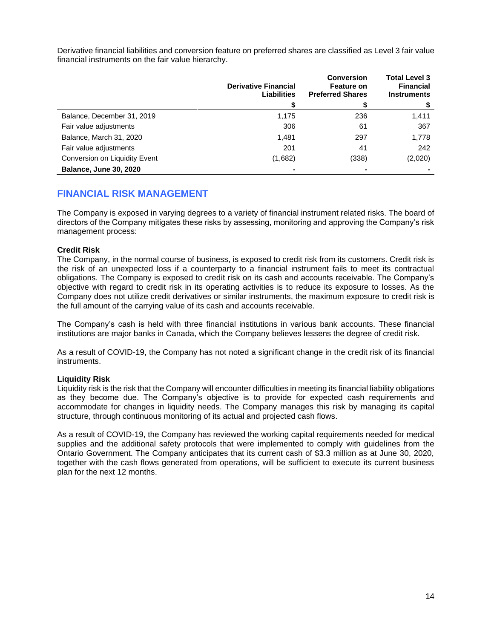Derivative financial liabilities and conversion feature on preferred shares are classified as Level 3 fair value financial instruments on the fair value hierarchy.

|                               | <b>Derivative Financial</b><br><b>Liabilities</b> | <b>Conversion</b><br><b>Feature on</b><br><b>Preferred Shares</b> | <b>Total Level 3</b><br><b>Financial</b><br><b>Instruments</b> |
|-------------------------------|---------------------------------------------------|-------------------------------------------------------------------|----------------------------------------------------------------|
| Balance, December 31, 2019    | 1,175                                             | 236                                                               | 1,411                                                          |
| Fair value adjustments        | 306                                               | 61                                                                | 367                                                            |
| Balance, March 31, 2020       | 1,481                                             | 297                                                               | 1,778                                                          |
| Fair value adjustments        | 201                                               | 41                                                                | 242                                                            |
| Conversion on Liquidity Event | (1,682)                                           | (338)                                                             | (2,020)                                                        |
| <b>Balance, June 30, 2020</b> |                                                   |                                                                   |                                                                |

### **FINANCIAL RISK MANAGEMENT**

The Company is exposed in varying degrees to a variety of financial instrument related risks. The board of directors of the Company mitigates these risks by assessing, monitoring and approving the Company's risk management process:

#### **Credit Risk**

The Company, in the normal course of business, is exposed to credit risk from its customers. Credit risk is the risk of an unexpected loss if a counterparty to a financial instrument fails to meet its contractual obligations. The Company is exposed to credit risk on its cash and accounts receivable. The Company's objective with regard to credit risk in its operating activities is to reduce its exposure to losses. As the Company does not utilize credit derivatives or similar instruments, the maximum exposure to credit risk is the full amount of the carrying value of its cash and accounts receivable.

The Company's cash is held with three financial institutions in various bank accounts. These financial institutions are major banks in Canada, which the Company believes lessens the degree of credit risk.

As a result of COVID-19, the Company has not noted a significant change in the credit risk of its financial instruments.

#### **Liquidity Risk**

Liquidity risk is the risk that the Company will encounter difficulties in meeting its financial liability obligations as they become due. The Company's objective is to provide for expected cash requirements and accommodate for changes in liquidity needs. The Company manages this risk by managing its capital structure, through continuous monitoring of its actual and projected cash flows.

As a result of COVID-19, the Company has reviewed the working capital requirements needed for medical supplies and the additional safety protocols that were implemented to comply with guidelines from the Ontario Government. The Company anticipates that its current cash of \$3.3 million as at June 30, 2020, together with the cash flows generated from operations, will be sufficient to execute its current business plan for the next 12 months.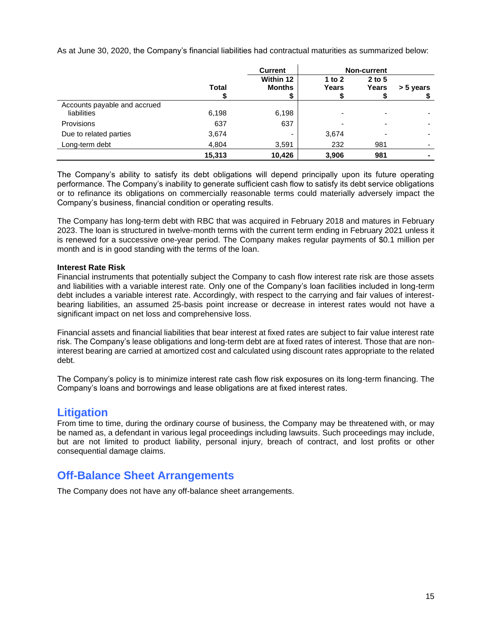As at June 30, 2020, the Company's financial liabilities had contractual maturities as summarized below:

|                              |              | <b>Current</b> |                          | <b>Non-current</b> |                |
|------------------------------|--------------|----------------|--------------------------|--------------------|----------------|
|                              |              | Within 12      | 1 to $2$                 | $2$ to 5           |                |
|                              | <b>Total</b> | <b>Months</b>  | Years                    | Years              | > 5 years      |
|                              |              | \$             |                          |                    |                |
| Accounts payable and accrued |              |                |                          |                    |                |
| liabilities                  | 6,198        | 6,198          | ۰                        |                    |                |
| Provisions                   | 637          | 637            | $\overline{\phantom{a}}$ |                    |                |
| Due to related parties       | 3,674        | -              | 3,674                    |                    |                |
| Long-term debt               | 4,804        | 3,591          | 232                      | 981                |                |
|                              | 15,313       | 10,426         | 3,906                    | 981                | $\blacksquare$ |

The Company's ability to satisfy its debt obligations will depend principally upon its future operating performance. The Company's inability to generate sufficient cash flow to satisfy its debt service obligations or to refinance its obligations on commercially reasonable terms could materially adversely impact the Company's business, financial condition or operating results.

The Company has long-term debt with RBC that was acquired in February 2018 and matures in February 2023. The loan is structured in twelve-month terms with the current term ending in February 2021 unless it is renewed for a successive one-year period. The Company makes regular payments of \$0.1 million per month and is in good standing with the terms of the loan.

#### **Interest Rate Risk**

Financial instruments that potentially subject the Company to cash flow interest rate risk are those assets and liabilities with a variable interest rate. Only one of the Company's loan facilities included in long-term debt includes a variable interest rate. Accordingly, with respect to the carrying and fair values of interestbearing liabilities, an assumed 25-basis point increase or decrease in interest rates would not have a significant impact on net loss and comprehensive loss.

Financial assets and financial liabilities that bear interest at fixed rates are subject to fair value interest rate risk. The Company's lease obligations and long-term debt are at fixed rates of interest. Those that are noninterest bearing are carried at amortized cost and calculated using discount rates appropriate to the related debt.

The Company's policy is to minimize interest rate cash flow risk exposures on its long-term financing. The Company's loans and borrowings and lease obligations are at fixed interest rates.

### **Litigation**

From time to time, during the ordinary course of business, the Company may be threatened with, or may be named as, a defendant in various legal proceedings including lawsuits. Such proceedings may include, but are not limited to product liability, personal injury, breach of contract, and lost profits or other consequential damage claims.

## **Off-Balance Sheet Arrangements**

The Company does not have any off-balance sheet arrangements.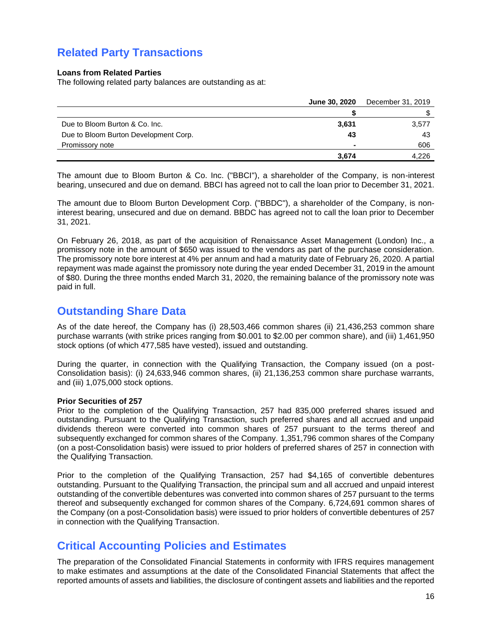## **Related Party Transactions**

#### **Loans from Related Parties**

The following related party balances are outstanding as at:

|                                       | <b>June 30, 2020</b> | December 31, 2019 |
|---------------------------------------|----------------------|-------------------|
|                                       |                      |                   |
| Due to Bloom Burton & Co. Inc.        | 3,631                | 3,577             |
| Due to Bloom Burton Development Corp. | 43                   | 43                |
| Promissory note                       |                      | 606               |
|                                       | 3.674                | 4,226             |

The amount due to Bloom Burton & Co. Inc. ("BBCI"), a shareholder of the Company, is non-interest bearing, unsecured and due on demand. BBCI has agreed not to call the loan prior to December 31, 2021.

The amount due to Bloom Burton Development Corp. ("BBDC"), a shareholder of the Company, is noninterest bearing, unsecured and due on demand. BBDC has agreed not to call the loan prior to December 31, 2021.

On February 26, 2018, as part of the acquisition of Renaissance Asset Management (London) Inc., a promissory note in the amount of \$650 was issued to the vendors as part of the purchase consideration. The promissory note bore interest at 4% per annum and had a maturity date of February 26, 2020. A partial repayment was made against the promissory note during the year ended December 31, 2019 in the amount of \$80. During the three months ended March 31, 2020, the remaining balance of the promissory note was paid in full.

## **Outstanding Share Data**

As of the date hereof, the Company has (i) 28,503,466 common shares (ii) 21,436,253 common share purchase warrants (with strike prices ranging from \$0.001 to \$2.00 per common share), and (iii) 1,461,950 stock options (of which 477,585 have vested), issued and outstanding.

During the quarter, in connection with the Qualifying Transaction, the Company issued (on a post-Consolidation basis): (i) 24,633,946 common shares, (ii) 21,136,253 common share purchase warrants, and (iii) 1,075,000 stock options.

#### **Prior Securities of 257**

Prior to the completion of the Qualifying Transaction, 257 had 835,000 preferred shares issued and outstanding. Pursuant to the Qualifying Transaction, such preferred shares and all accrued and unpaid dividends thereon were converted into common shares of 257 pursuant to the terms thereof and subsequently exchanged for common shares of the Company. 1,351,796 common shares of the Company (on a post-Consolidation basis) were issued to prior holders of preferred shares of 257 in connection with the Qualifying Transaction.

Prior to the completion of the Qualifying Transaction, 257 had \$4,165 of convertible debentures outstanding. Pursuant to the Qualifying Transaction, the principal sum and all accrued and unpaid interest outstanding of the convertible debentures was converted into common shares of 257 pursuant to the terms thereof and subsequently exchanged for common shares of the Company. 6,724,691 common shares of the Company (on a post-Consolidation basis) were issued to prior holders of convertible debentures of 257 in connection with the Qualifying Transaction.

## **Critical Accounting Policies and Estimates**

The preparation of the Consolidated Financial Statements in conformity with IFRS requires management to make estimates and assumptions at the date of the Consolidated Financial Statements that affect the reported amounts of assets and liabilities, the disclosure of contingent assets and liabilities and the reported